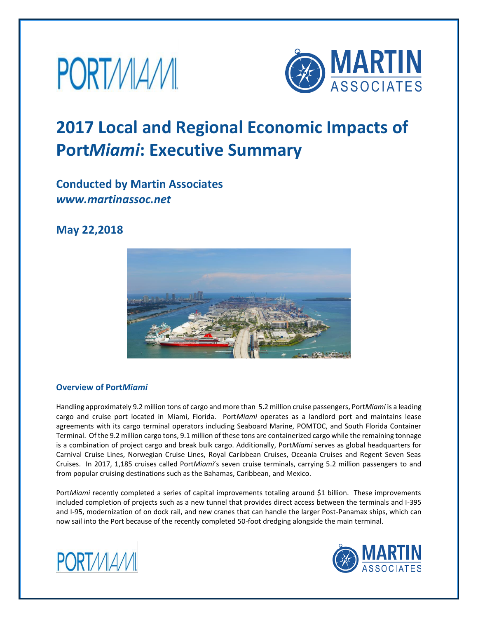



# **2017 Local and Regional Economic Impacts of Port***Miami***: Executive Summary**

# **Conducted by Martin Associates** *www.martinassoc.net*

# **May 22,2018**



# **Overview of Port***Miami*

Handling approximately 9.2 million tons of cargo and more than 5.2 million cruise passengers, Port*Miami* is a leading cargo and cruise port located in Miami, Florida. Port*Miami* operates as a landlord port and maintains lease agreements with its cargo terminal operators including Seaboard Marine, POMTOC, and South Florida Container Terminal. Of the 9.2 million cargo tons, 9.1 million of these tons are containerized cargo while the remaining tonnage is a combination of project cargo and break bulk cargo. Additionally, Port*Miami* serves as global headquarters for Carnival Cruise Lines, Norwegian Cruise Lines, Royal Caribbean Cruises, Oceania Cruises and Regent Seven Seas Cruises. In 2017, 1,185 cruises called Port*Miami*'s seven cruise terminals, carrying 5.2 million passengers to and from popular cruising destinations such as the Bahamas, Caribbean, and Mexico.

Port*Miami* recently completed a series of capital improvements totaling around \$1 billion. These improvements included completion of projects such as a new tunnel that provides direct access between the terminals and I-395 and I-95, modernization of on dock rail, and new cranes that can handle the larger Post-Panamax ships, which can now sail into the Port because of the recently completed 50-foot dredging alongside the main terminal.



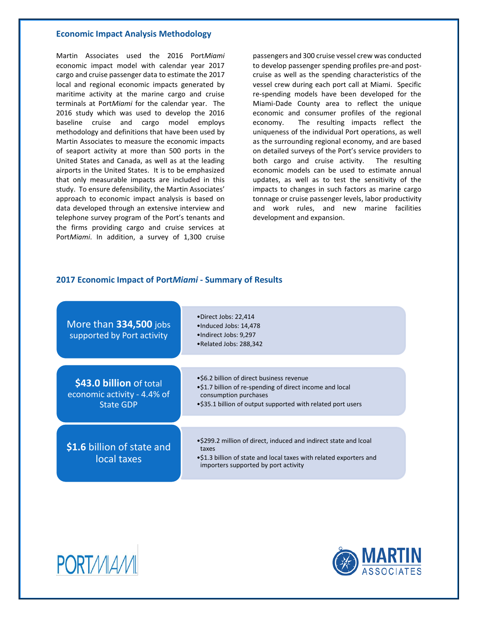#### **Economic Impact Analysis Methodology**

Martin Associates used the 2016 Port*Miami* economic impact model with calendar year 2017 cargo and cruise passenger data to estimate the 2017 local and regional economic impacts generated by maritime activity at the marine cargo and cruise terminals at Port*Miami* for the calendar year. The 2016 study which was used to develop the 2016 baseline cruise and cargo model employs methodology and definitions that have been used by Martin Associates to measure the economic impacts of seaport activity at more than 500 ports in the United States and Canada, as well as at the leading airports in the United States. It is to be emphasized that only measurable impacts are included in this study. To ensure defensibility, the Martin Associates' approach to economic impact analysis is based on data developed through an extensive interview and telephone survey program of the Port's tenants and the firms providing cargo and cruise services at Port*Miami*. In addition, a survey of 1,300 cruise

passengers and 300 cruise vessel crew was conducted to develop passenger spending profiles pre-and postcruise as well as the spending characteristics of the vessel crew during each port call at Miami. Specific re-spending models have been developed for the Miami-Dade County area to reflect the unique economic and consumer profiles of the regional economy. The resulting impacts reflect the uniqueness of the individual Port operations, as well as the surrounding regional economy, and are based on detailed surveys of the Port's service providers to both cargo and cruise activity. The resulting economic models can be used to estimate annual updates, as well as to test the sensitivity of the impacts to changes in such factors as marine cargo tonnage or cruise passenger levels, labor productivity and work rules, and new marine facilities development and expansion.

#### **2017 Economic Impact of Port***Miami* **- Summary of Results**

| More than 334,500 jobs<br>supported by Port activity                | •Direct Jobs: 22,414<br>•Induced Jobs: 14,478<br>•Indirect Jobs: 9,297<br>•Related Jobs: 288,342                                                                                              |  |
|---------------------------------------------------------------------|-----------------------------------------------------------------------------------------------------------------------------------------------------------------------------------------------|--|
|                                                                     |                                                                                                                                                                                               |  |
| \$43.0 billion of total<br>economic activity - 4.4% of<br>State GDP | •\$6.2 billion of direct business revenue<br>.\$1.7 billion of re-spending of direct income and local<br>consumption purchases<br>•\$35.1 billion of output supported with related port users |  |
|                                                                     |                                                                                                                                                                                               |  |
| \$1.6 billion of state and<br>local taxes                           | •\$299.2 million of direct, induced and indirect state and Icoal<br>taxes<br>.\$1.3 billion of state and local taxes with related exporters and<br>importers supported by port activity       |  |



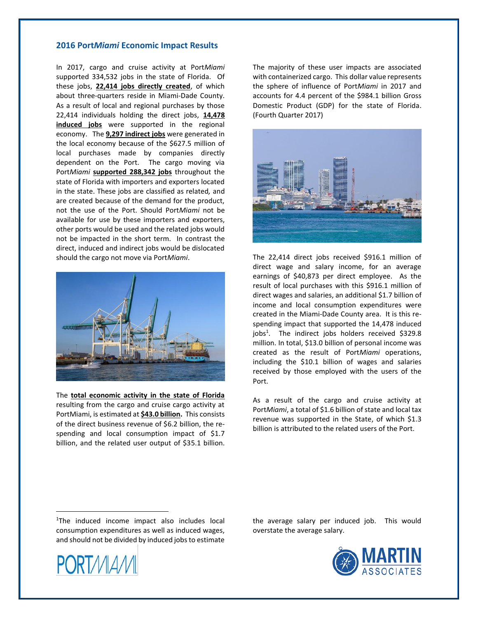#### **2016 Port***Miami* **Economic Impact Results**

In 2017, cargo and cruise activity at Port*Miami* supported 334,532 jobs in the state of Florida. Of these jobs, **22,414 jobs directly created**, of which about three-quarters reside in Miami-Dade County. As a result of local and regional purchases by those 22,414 individuals holding the direct jobs, **14,478 induced jobs** were supported in the regional economy. The **9,297 indirect jobs** were generated in the local economy because of the \$627.5 million of local purchases made by companies directly dependent on the Port. The cargo moving via Port*Miami* **supported 288,342 jobs** throughout the state of Florida with importers and exporters located in the state. These jobs are classified as related*,* and are created because of the demand for the product, not the use of the Port. Should Port*Miami* not be available for use by these importers and exporters, other ports would be used and the related jobs would not be impacted in the short term. In contrast the direct, induced and indirect jobs would be dislocated should the cargo not move via Port*Miami*.



The **total economic activity in the state of Florida**  resulting from the cargo and cruise cargo activity at PortMiami, is estimated at **\$43.0 billion.** This consists of the direct business revenue of \$6.2 billion, the respending and local consumption impact of \$1.7 billion, and the related user output of \$35.1 billion.

The majority of these user impacts are associated with containerized cargo. This dollar value represents the sphere of influence of Port*Miami* in 2017 and accounts for 4.4 percent of the \$984.1 billion Gross Domestic Product (GDP) for the state of Florida. (Fourth Quarter 2017)



The 22,414 direct jobs received \$916.1 million of direct wage and salary income, for an average earnings of \$40,873 per direct employee. As the result of local purchases with this \$916.1 million of direct wages and salaries, an additional \$1.7 billion of income and local consumption expenditures were created in the Miami-Dade County area. It is this respending impact that supported the 14,478 induced jobs<sup>1</sup>. The indirect jobs holders received \$329.8 million. In total, \$13.0 billion of personal income was created as the result of Port*Miami* operations, including the \$10.1 billion of wages and salaries received by those employed with the users of the Port.

As a result of the cargo and cruise activity at Port*Miami*, a total of \$1.6 billion of state and local tax revenue was supported in the State, of which \$1.3 billion is attributed to the related users of the Port.

<sup>1</sup>The induced income impact also includes local consumption expenditures as well as induced wages, and should not be divided by induced jobs to estimate

**PORTMAM** 

the average salary per induced job. This would overstate the average salary.

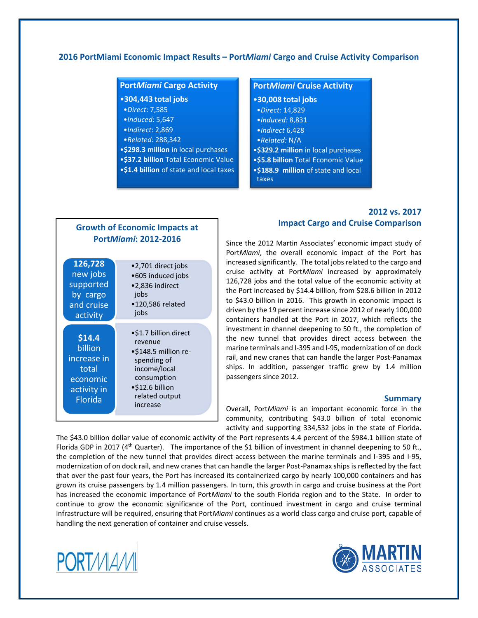### **2016 PortMiami Economic Impact Results – Port***Miami* **Cargo and Cruise Activity Comparison**

## **Port***Miami* **Cargo Activity**

- •**304,443 total jobs**
- •*Direct*: 7,585
- •*Induced*: 5,647
- •*Indirect*: 2,869
- •*Related:* 288,342
- •**\$298.3 million** in local purchases
- •**\$37.2 billion** Total Economic Value
- •**\$1.4 billion** of state and local taxes

#### **Port***Miami* **Cruise Activity**

- •**30,008 total jobs**
- •*Direct:* 14,829
- •*Induced:* 8,831
- •*Indirect* 6,428
- •*Related:* N/A
- •**\$329.2 million** in local purchases
- •**\$5.8 billion** Total Economic Value
- •**\$188.9 million** of state and local
- taxes

## **2012 vs. 2017 Impact Cargo and Cruise Comparison**

Since the 2012 Martin Associates' economic impact study of Port*Miami*, the overall economic impact of the Port has increased significantly. The total jobs related to the cargo and cruise activity at Port*Miami* increased by approximately 126,728 jobs and the total value of the economic activity at the Port increased by \$14.4 billion, from \$28.6 billion in 2012 to \$43.0 billion in 2016. This growth in economic impact is driven by the 19 percent increase since 2012 of nearly 100,000 containers handled at the Port in 2017, which reflects the investment in channel deepening to 50 ft., the completion of the new tunnel that provides direct access between the marine terminals and I-395 and I-95, modernization of on dock rail, and new cranes that can handle the larger Post-Panamax ships. In addition, passenger traffic grew by 1.4 million passengers since 2012.

#### **Summary**

Overall, Port*Miami* is an important economic force in the community, contributing \$43.0 billion of total economic activity and supporting 334,532 jobs in the state of Florida.

The \$43.0 billion dollar value of economic activity of the Port represents 4.4 percent of the \$984.1 billion state of Florida GDP in 2017 (4<sup>th</sup> Quarter). The importance of the \$1 billion of investment in channel deepening to 50 ft., the completion of the new tunnel that provides direct access between the marine terminals and I-395 and I-95, modernization of on dock rail, and new cranes that can handle the larger Post-Panamax ships is reflected by the fact that over the past four years, the Port has increased its containerized cargo by nearly 100,000 containers and has grown its cruise passengers by 1.4 million passengers. In turn, this growth in cargo and cruise business at the Port has increased the economic importance of Port*Miami* to the south Florida region and to the State. In order to continue to grow the economic significance of the Port, continued investment in cargo and cruise terminal infrastructure will be required, ensuring that Port*Miami* continues as a world class cargo and cruise port, capable of handling the next generation of container and cruise vessels.



total economic activity in Florida



| <b>PortMiami: 2012-2016</b>                                            |                                                                                                |  |
|------------------------------------------------------------------------|------------------------------------------------------------------------------------------------|--|
| 126,728<br>new jobs<br>supported<br>by cargo<br>and cruise<br>activity | •2,701 direct jobs<br>•605 induced jobs<br>•2,836 indirect<br>jobs<br>•120,586 related<br>jobs |  |
| \$14.4<br>billion<br>increase in                                       | •\$1.7 billion direct<br>revenue<br>•\$148.5 million re-<br>spending of                        |  |

income/local consumption •\$12.6 billion related output increase

**Growth of Economic Impacts at**